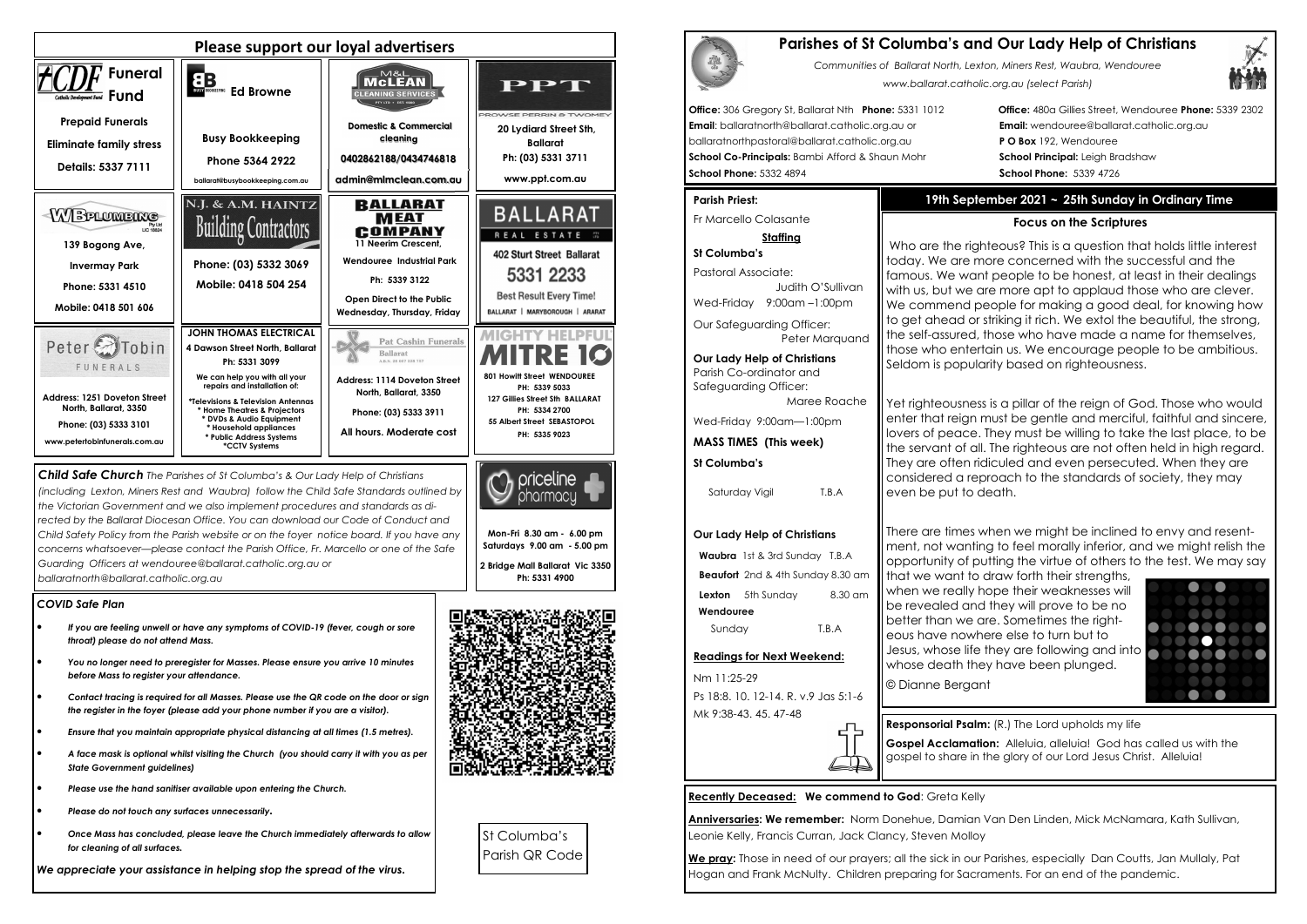### *COVID Safe Plan*

- *If you are feeling unwell or have any symptoms of COVID-19 (fever, cough or sore throat) please do not attend Mass.*
- *You no longer need to preregister for Masses. Please ensure you arrive 10 minutes before Mass to register your attendance.*
- *Contact tracing is required for all Masses. Please use the QR code on the door or sign the register in the foyer (please add your phone number if you are a visitor).*
- *Ensure that you maintain appropriate physical distancing at all times (1.5 metres).*
- *A face mask is optional whilst visiting the Church (you should carry it with you as per State Government guidelines)*
- *Please use the hand sanitiser available upon entering the Church.*
- *Please do not touch any surfaces unnecessarily.*
- *Once Mass has concluded, please leave the Church immediately afterwards to allow for cleaning of all surfaces.*

*We appreciate your assistance in helping stop the spread of the virus.*







*Child Safe Church The Parishes of St Columba's & Our Lady Help of Christians (including Lexton, Miners Rest and Waubra) follow the Child Safe Standards outlined by the Victorian Government and we also implement procedures and standards as directed by the Ballarat Diocesan Office. You can download our Code of Conduct and Child Safety Policy from the Parish website or on the foyer notice board. If you have any concerns whatsoever—please contact the Parish Office, Fr. Marcello or one of the Safe Guarding Officers at wendouree@ballarat.catholic.org.au or ballaratnorth@ballarat.catholic.org.au* 

Peter Marauand **Our Lady Help of Christians**

**Waubra** 1st & 3rd Sunday T.B.A **Beaufort** 2nd & 4th Sunday 8.30 am **Lexton** 5th Sunday 8.30 am

**Mon-Fri 8.30 am - 6.00 pm Saturdays 9.00 am - 5.00 pm** 

**2 Bridge Mall Ballarat Vic 3350 Ph: 5331 4900** 



Who are the righteous? This is a question that holds little interest today. We are more concerned with the successful and the famous. We want people to be honest, at least in their dealings with us, but we are more apt to applaud those who are clever. We commend people for making a good deal, for knowing how to get ahead or striking it rich. We extol the beautiful, the strong, the self-assured, those who have made a name for themselves, those who entertain us. We encourage people to be ambitious. Seldom is popularity based on righteousness.

Yet righteousness is a pillar of the reign of God. Those who would enter that reign must be gentle and merciful, faithful and sincere, lovers of peace. They must be willing to take the last place, to be the servant of all. The righteous are not often held in high regard. They are often ridiculed and even persecuted. When they are considered a reproach to the standards of society, they may even be put to death.



St Columba's Parish QR Code

# **Parishes of St Columba's and Our Lady Help of Christians**

*Communities of Ballarat North, Lexton, Miners Rest, Waubra, Wendouree www.ballarat.catholic.org.au (select Parish)* 

**Office:** 306 Gregory St, Ballarat Nth **Phone:** 5331 1012 **Office:** 480a Gillies Street, Wendouree **Phone:** 5339 2302

**Email**: ballaratnorth@ballarat.catholic.org.au or **Email:** wendouree@ballarat.catholic.org.au ballaratnorthpastoral@ballarat.catholic.org.au **P O Box** 192, Wendouree **School Co-Principals:** Bambi Afford & Shaun Mohr **School Principal:** Leigh Bradshaw **School Phone:** 5332 4894 **School Phone:** 5339 4726

### **Parish Priest:**

Fr Marcello Colasante

### **Staffing**

**St Columba's** Pastoral Associate: Judith O'SullivanWed-Friday 9:00am –1:00pm Our Safeguarding Officer:

Parish Co-ordinator and Safeguarding Officer:

 Maree Roache Wed-Friday 9:00am—1:00pm

**MASS TIMES (This week)**

### **St Columba's**

**Our Lady Help of Christians** 

 **Wendouree**

Sunday T.B.A

**Readings for Next Weekend:** 

Nm 11:25-29

Ps 18:8. 10. 12-14. R. v.9 Jas 5:1-6

Mk 9:38-43. 45. 47-48

Saturday Vigil T.B.A

**Recently Deceased: We commend to God**: Greta Kelly

**Anniversaries: We remember:** Norm Donehue, Damian Van Den Linden, Mick McNamara, Kath Sullivan, Leonie Kelly, Francis Curran, Jack Clancy, Steven Molloy

**We pray:** Those in need of our prayers; all the sick in our Parishes, especially Dan Coutts, Jan Mullaly, Pat Hogan and Frank McNulty. Children preparing for Sacraments. For an end of the pandemic.



# **19th September 2021 ~ 25th Sunday in Ordinary Time**

# **Focus on the Scriptures**

There are times when we might be inclined to envy and resentment, not wanting to feel morally inferior, and we might relish the opportunity of putting the virtue of others to the test. We may say



that we want to draw forth their strengths, when we really hope their weaknesses will be revealed and they will prove to be no better than we are. Sometimes the righteous have nowhere else to turn but to Jesus, whose life they are following and into whose death they have been plunged. © Dianne Bergant

ΕЪ,  $\Box$ 

**Responsorial Psalm:** (R.) The Lord upholds my life **Gospel Acclamation:** Alleluia, alleluia! God has called us with the gospel to share in the glory of our Lord Jesus Christ. Alleluia!